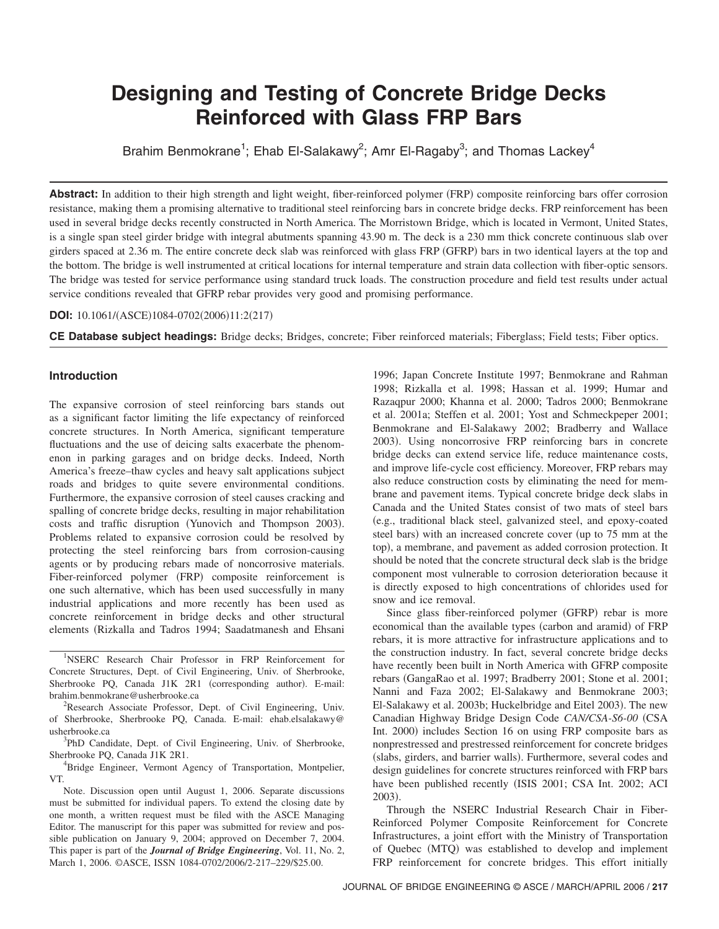# **Designing and Testing of Concrete Bridge Decks Reinforced with Glass FRP Bars**

Brahim Benmokrane<sup>1</sup>; Ehab El-Salakawy<sup>2</sup>; Amr El-Ragaby<sup>3</sup>; and Thomas Lackey<sup>4</sup>

Abstract: In addition to their high strength and light weight, fiber-reinforced polymer (FRP) composite reinforcing bars offer corrosion resistance, making them a promising alternative to traditional steel reinforcing bars in concrete bridge decks. FRP reinforcement has been used in several bridge decks recently constructed in North America. The Morristown Bridge, which is located in Vermont, United States, is a single span steel girder bridge with integral abutments spanning 43.90 m. The deck is a 230 mm thick concrete continuous slab over girders spaced at 2.36 m. The entire concrete deck slab was reinforced with glass FRP (GFRP) bars in two identical layers at the top and the bottom. The bridge is well instrumented at critical locations for internal temperature and strain data collection with fiber-optic sensors. The bridge was tested for service performance using standard truck loads. The construction procedure and field test results under actual service conditions revealed that GFRP rebar provides very good and promising performance.

# **DOI:** 10.1061/(ASCE)1084-0702(2006)11:2(217)

**CE Database subject headings:** Bridge decks; Bridges, concrete; Fiber reinforced materials; Fiberglass; Field tests; Fiber optics.

# **Introduction**

The expansive corrosion of steel reinforcing bars stands out as a significant factor limiting the life expectancy of reinforced concrete structures. In North America, significant temperature fluctuations and the use of deicing salts exacerbate the phenomenon in parking garages and on bridge decks. Indeed, North America's freeze–thaw cycles and heavy salt applications subject roads and bridges to quite severe environmental conditions. Furthermore, the expansive corrosion of steel causes cracking and spalling of concrete bridge decks, resulting in major rehabilitation costs and traffic disruption (Yunovich and Thompson 2003). Problems related to expansive corrosion could be resolved by protecting the steel reinforcing bars from corrosion-causing agents or by producing rebars made of noncorrosive materials. Fiber-reinforced polymer (FRP) composite reinforcement is one such alternative, which has been used successfully in many industrial applications and more recently has been used as concrete reinforcement in bridge decks and other structural elements (Rizkalla and Tadros 1994; Saadatmanesh and Ehsani

<sup>4</sup>Bridge Engineer, Vermont Agency of Transportation, Montpelier, VT.

Note. Discussion open until August 1, 2006. Separate discussions must be submitted for individual papers. To extend the closing date by one month, a written request must be filed with the ASCE Managing Editor. The manuscript for this paper was submitted for review and possible publication on January 9, 2004; approved on December 7, 2004. This paper is part of the *Journal of Bridge Engineering*, Vol. 11, No. 2, March 1, 2006. ©ASCE, ISSN 1084-0702/2006/2-217–229/\$25.00.

1996; Japan Concrete Institute 1997; Benmokrane and Rahman 1998; Rizkalla et al. 1998; Hassan et al. 1999; Humar and Razaqpur 2000; Khanna et al. 2000; Tadros 2000; Benmokrane et al. 2001a; Steffen et al. 2001; Yost and Schmeckpeper 2001; Benmokrane and El-Salakawy 2002; Bradberry and Wallace 2003). Using noncorrosive FRP reinforcing bars in concrete bridge decks can extend service life, reduce maintenance costs, and improve life-cycle cost efficiency. Moreover, FRP rebars may also reduce construction costs by eliminating the need for membrane and pavement items. Typical concrete bridge deck slabs in Canada and the United States consist of two mats of steel bars !e.g., traditional black steel, galvanized steel, and epoxy-coated steel bars) with an increased concrete cover (up to 75 mm at the top), a membrane, and pavement as added corrosion protection. It should be noted that the concrete structural deck slab is the bridge component most vulnerable to corrosion deterioration because it is directly exposed to high concentrations of chlorides used for snow and ice removal.

Since glass fiber-reinforced polymer (GFRP) rebar is more economical than the available types (carbon and aramid) of FRP rebars, it is more attractive for infrastructure applications and to the construction industry. In fact, several concrete bridge decks have recently been built in North America with GFRP composite rebars (GangaRao et al. 1997; Bradberry 2001; Stone et al. 2001; Nanni and Faza 2002; El-Salakawy and Benmokrane 2003; El-Salakawy et al. 2003b; Huckelbridge and Eitel 2003). The new Canadian Highway Bridge Design Code *CAN/CSA-S6-00* (CSA Int. 2000) includes Section 16 on using FRP composite bars as nonprestressed and prestressed reinforcement for concrete bridges (slabs, girders, and barrier walls). Furthermore, several codes and design guidelines for concrete structures reinforced with FRP bars have been published recently (ISIS 2001; CSA Int. 2002; ACI  $2003$ ).

Through the NSERC Industrial Research Chair in Fiber-Reinforced Polymer Composite Reinforcement for Concrete Infrastructures, a joint effort with the Ministry of Transportation of Quebec (MTQ) was established to develop and implement FRP reinforcement for concrete bridges. This effort initially

<sup>&</sup>lt;sup>1</sup>NSERC Research Chair Professor in FRP Reinforcement for Concrete Structures, Dept. of Civil Engineering, Univ. of Sherbrooke, Sherbrooke PQ, Canada J1K 2R1 (corresponding author). E-mail: brahim.benmokrane@usherbrooke.ca <sup>2</sup>

<sup>&</sup>lt;sup>2</sup>Research Associate Professor, Dept. of Civil Engineering, Univ. of Sherbrooke, Sherbrooke PQ, Canada. E-mail: ehab.elsalakawy@ usherbrooke.ca <sup>3</sup>

<sup>&</sup>lt;sup>3</sup>PhD Candidate, Dept. of Civil Engineering, Univ. of Sherbrooke, Sherbrooke PQ, Canada J1K 2R1. <sup>4</sup>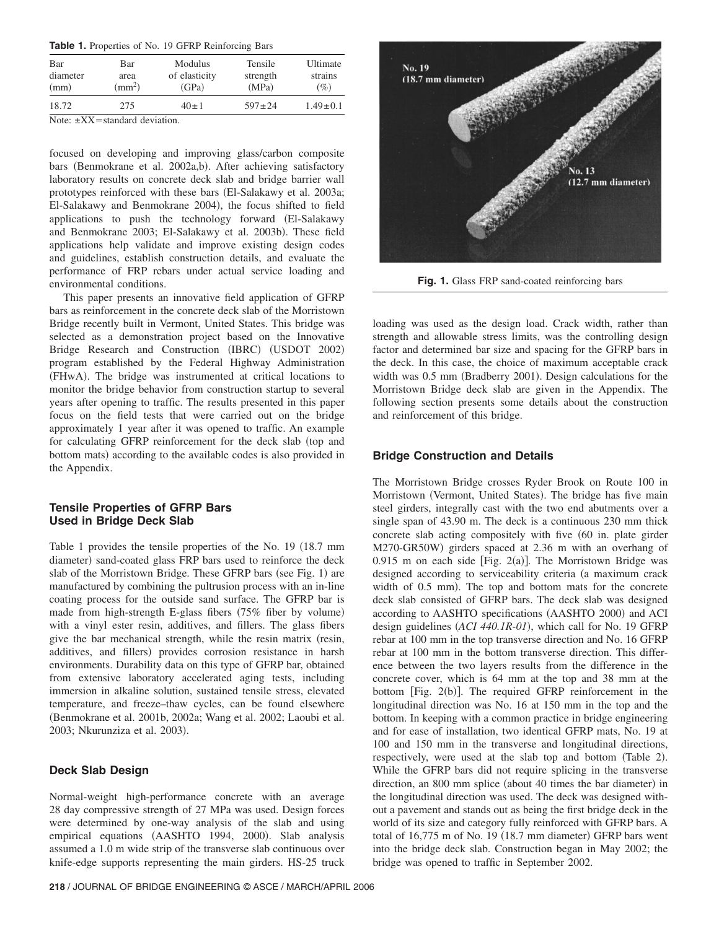| <b>Table 1.</b> Properties of No. 19 GFRP Reinforcing Bars |  |
|------------------------------------------------------------|--|
|------------------------------------------------------------|--|

| Bar<br>Bar<br>diameter<br>area<br>$\rm (mm^2)$<br>(mm) |     | Modulus<br>of elasticity<br>(GPa) | Tensile<br>strength<br>(MPa) | Ultimate<br>strains<br>$(\%)$ |  |
|--------------------------------------------------------|-----|-----------------------------------|------------------------------|-------------------------------|--|
| 18.72                                                  | 275 | $40 \pm 1$                        | $597 \pm 24$                 | $1.49 \pm 0.1$                |  |

Note:  $\pm XX$  = standard deviation.

focused on developing and improving glass/carbon composite bars (Benmokrane et al. 2002a,b). After achieving satisfactory laboratory results on concrete deck slab and bridge barrier wall prototypes reinforced with these bars (El-Salakawy et al. 2003a; El-Salakawy and Benmokrane 2004), the focus shifted to field applications to push the technology forward (El-Salakawy and Benmokrane 2003; El-Salakawy et al. 2003b). These field applications help validate and improve existing design codes and guidelines, establish construction details, and evaluate the performance of FRP rebars under actual service loading and environmental conditions.

This paper presents an innovative field application of GFRP bars as reinforcement in the concrete deck slab of the Morristown Bridge recently built in Vermont, United States. This bridge was selected as a demonstration project based on the Innovative Bridge Research and Construction (IBRC) (USDOT 2002) program established by the Federal Highway Administration (FHwA). The bridge was instrumented at critical locations to monitor the bridge behavior from construction startup to several years after opening to traffic. The results presented in this paper focus on the field tests that were carried out on the bridge approximately 1 year after it was opened to traffic. An example for calculating GFRP reinforcement for the deck slab (top and bottom mats) according to the available codes is also provided in the Appendix.

# **Tensile Properties of GFRP Bars Used in Bridge Deck Slab**

Table 1 provides the tensile properties of the No. 19 (18.7 mm diameter) sand-coated glass FRP bars used to reinforce the deck slab of the Morristown Bridge. These GFRP bars (see Fig. 1) are manufactured by combining the pultrusion process with an in-line coating process for the outside sand surface. The GFRP bar is made from high-strength E-glass fibers  $(75\%$  fiber by volume) with a vinyl ester resin, additives, and fillers. The glass fibers give the bar mechanical strength, while the resin matrix (resin, additives, and fillers) provides corrosion resistance in harsh environments. Durability data on this type of GFRP bar, obtained from extensive laboratory accelerated aging tests, including immersion in alkaline solution, sustained tensile stress, elevated temperature, and freeze–thaw cycles, can be found elsewhere !Benmokrane et al. 2001b, 2002a; Wang et al. 2002; Laoubi et al. 2003; Nkurunziza et al. 2003).

# **Deck Slab Design**

Normal-weight high-performance concrete with an average 28 day compressive strength of 27 MPa was used. Design forces were determined by one-way analysis of the slab and using empirical equations (AASHTO 1994, 2000). Slab analysis assumed a 1.0 m wide strip of the transverse slab continuous over knife-edge supports representing the main girders. HS-25 truck



**Fig. 1.** Glass FRP sand-coated reinforcing bars

loading was used as the design load. Crack width, rather than strength and allowable stress limits, was the controlling design factor and determined bar size and spacing for the GFRP bars in the deck. In this case, the choice of maximum acceptable crack width was 0.5 mm (Bradberry 2001). Design calculations for the Morristown Bridge deck slab are given in the Appendix. The following section presents some details about the construction and reinforcement of this bridge.

# **Bridge Construction and Details**

The Morristown Bridge crosses Ryder Brook on Route 100 in Morristown (Vermont, United States). The bridge has five main steel girders, integrally cast with the two end abutments over a single span of 43.90 m. The deck is a continuous 230 mm thick concrete slab acting compositely with five (60 in. plate girder M270-GR50W) girders spaced at 2.36 m with an overhang of 0.915 m on each side [Fig. 2(a)]. The Morristown Bridge was designed according to serviceability criteria (a maximum crack width of  $0.5$  mm). The top and bottom mats for the concrete deck slab consisted of GFRP bars. The deck slab was designed according to AASHTO specifications (AASHTO 2000) and ACI design guidelines (*ACI 440.1R-01*), which call for No. 19 GFRP rebar at 100 mm in the top transverse direction and No. 16 GFRP rebar at 100 mm in the bottom transverse direction. This difference between the two layers results from the difference in the concrete cover, which is 64 mm at the top and 38 mm at the bottom  $[Fig. 2(b)].$  The required GFRP reinforcement in the longitudinal direction was No. 16 at 150 mm in the top and the bottom. In keeping with a common practice in bridge engineering and for ease of installation, two identical GFRP mats, No. 19 at 100 and 150 mm in the transverse and longitudinal directions, respectively, were used at the slab top and bottom (Table 2). While the GFRP bars did not require splicing in the transverse direction, an 800 mm splice (about 40 times the bar diameter) in the longitudinal direction was used. The deck was designed without a pavement and stands out as being the first bridge deck in the world of its size and category fully reinforced with GFRP bars. A total of  $16,775$  m of No. 19  $(18.7 \text{ mm diameter})$  GFRP bars went into the bridge deck slab. Construction began in May 2002; the bridge was opened to traffic in September 2002.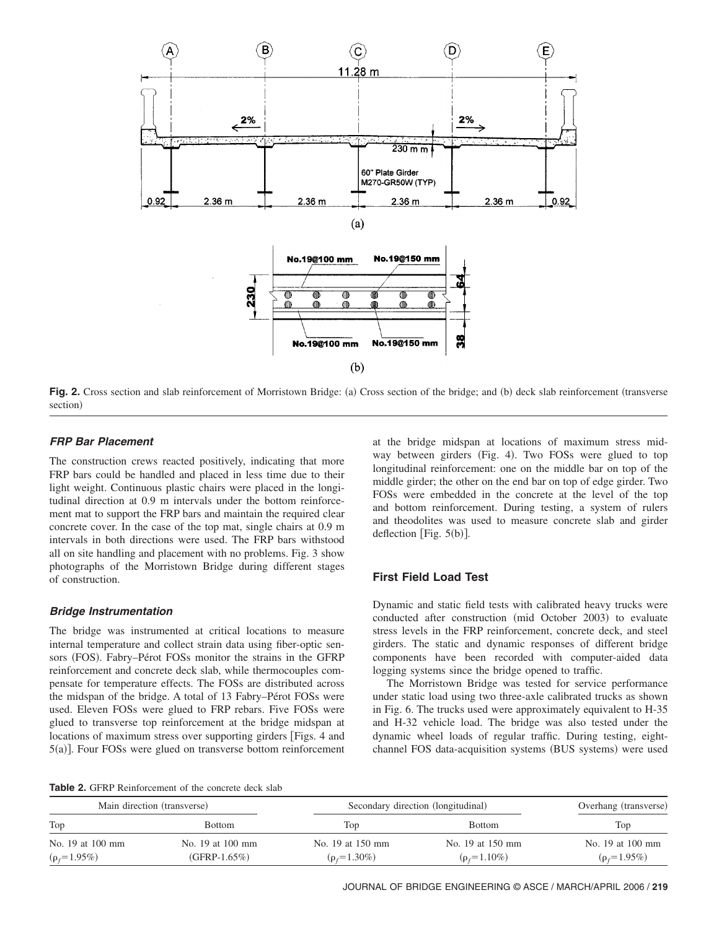

Fig. 2. Cross section and slab reinforcement of Morristown Bridge: (a) Cross section of the bridge; and (b) deck slab reinforcement (transverse section)

## **FRP Bar Placement**

The construction crews reacted positively, indicating that more FRP bars could be handled and placed in less time due to their light weight. Continuous plastic chairs were placed in the longitudinal direction at 0.9 m intervals under the bottom reinforcement mat to support the FRP bars and maintain the required clear concrete cover. In the case of the top mat, single chairs at 0.9 m intervals in both directions were used. The FRP bars withstood all on site handling and placement with no problems. Fig. 3 show photographs of the Morristown Bridge during different stages of construction.

## **Bridge Instrumentation**

The bridge was instrumented at critical locations to measure internal temperature and collect strain data using fiber-optic sensors (FOS). Fabry–Pérot FOSs monitor the strains in the GFRP reinforcement and concrete deck slab, while thermocouples compensate for temperature effects. The FOSs are distributed across the midspan of the bridge. A total of 13 Fabry–Pérot FOSs were used. Eleven FOSs were glued to FRP rebars. Five FOSs were glued to transverse top reinforcement at the bridge midspan at locations of maximum stress over supporting girders [Figs. 4 and 5(a)]. Four FOSs were glued on transverse bottom reinforcement

at the bridge midspan at locations of maximum stress midway between girders (Fig. 4). Two FOSs were glued to top longitudinal reinforcement: one on the middle bar on top of the middle girder; the other on the end bar on top of edge girder. Two FOSs were embedded in the concrete at the level of the top and bottom reinforcement. During testing, a system of rulers and theodolites was used to measure concrete slab and girder deflection [Fig.  $5(b)$ ].

## **First Field Load Test**

Dynamic and static field tests with calibrated heavy trucks were conducted after construction (mid October 2003) to evaluate stress levels in the FRP reinforcement, concrete deck, and steel girders. The static and dynamic responses of different bridge components have been recorded with computer-aided data logging systems since the bridge opened to traffic.

The Morristown Bridge was tested for service performance under static load using two three-axle calibrated trucks as shown in Fig. 6. The trucks used were approximately equivalent to H-35 and H-32 vehicle load. The bridge was also tested under the dynamic wheel loads of regular traffic. During testing, eightchannel FOS data-acquisition systems (BUS systems) were used

**Table 2.** GFRP Reinforcement of the concrete deck slab

| Main direction (transverse) |                  |                  | Secondary direction (longitudinal) |                  |  |
|-----------------------------|------------------|------------------|------------------------------------|------------------|--|
| Top                         | <b>Bottom</b>    | Top              | <b>Bottom</b>                      | Top              |  |
| No. 19 at 100 mm            | No. 19 at 100 mm | No. 19 at 150 mm | No. 19 at 150 mm                   | No. 19 at 100 mm |  |
| $(p_f=1.95\%)$              | $(GFRP-1.65%)$   | $(p_f=1.30\%)$   | $(\rho_f = 1.10\%)$                | $(p_f=1.95\%)$   |  |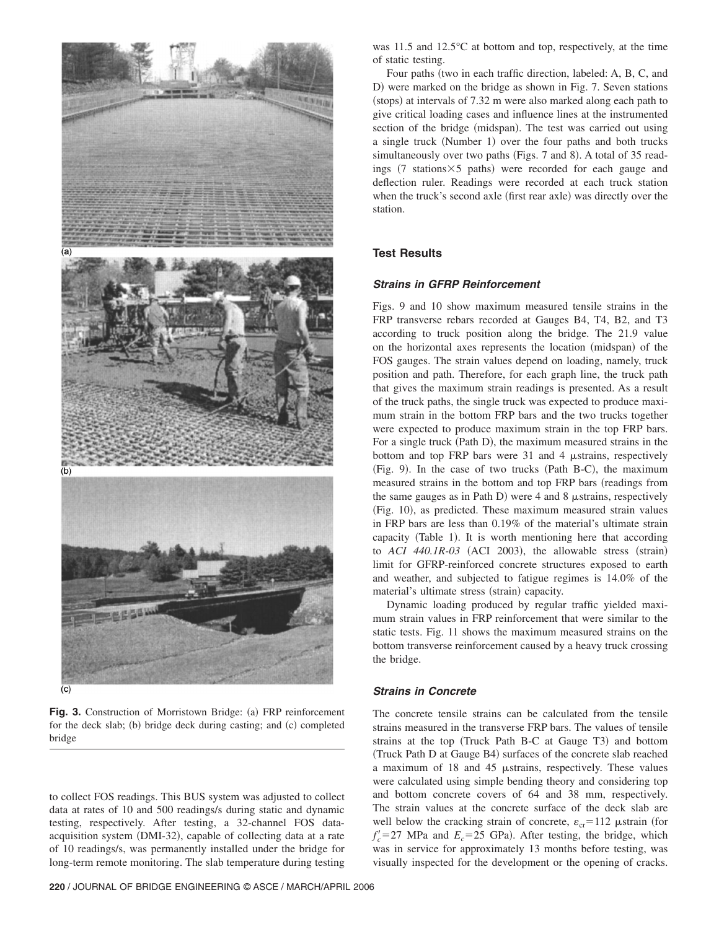

**Fig. 3.** Construction of Morristown Bridge: (a) FRP reinforcement for the deck slab; (b) bridge deck during casting; and  $(c)$  completed bridge

to collect FOS readings. This BUS system was adjusted to collect data at rates of 10 and 500 readings/s during static and dynamic testing, respectively. After testing, a 32-channel FOS dataacquisition system (DMI-32), capable of collecting data at a rate of 10 readings/s, was permanently installed under the bridge for long-term remote monitoring. The slab temperature during testing

was 11.5 and 12.5°C at bottom and top, respectively, at the time of static testing.

Four paths (two in each traffic direction, labeled: A, B, C, and D) were marked on the bridge as shown in Fig. 7. Seven stations (stops) at intervals of 7.32 m were also marked along each path to give critical loading cases and influence lines at the instrumented section of the bridge (midspan). The test was carried out using a single truck (Number 1) over the four paths and both trucks simultaneously over two paths (Figs. 7 and 8). A total of 35 readings  $(7 \text{ stations} \times 5 \text{ paths})$  were recorded for each gauge and deflection ruler. Readings were recorded at each truck station when the truck's second axle (first rear axle) was directly over the station.

# **Test Results**

# **Strains in GFRP Reinforcement**

Figs. 9 and 10 show maximum measured tensile strains in the FRP transverse rebars recorded at Gauges B4, T4, B2, and T3 according to truck position along the bridge. The 21.9 value on the horizontal axes represents the location (midspan) of the FOS gauges. The strain values depend on loading, namely, truck position and path. Therefore, for each graph line, the truck path that gives the maximum strain readings is presented. As a result of the truck paths, the single truck was expected to produce maximum strain in the bottom FRP bars and the two trucks together were expected to produce maximum strain in the top FRP bars. For a single truck (Path D), the maximum measured strains in the bottom and top FRP bars were  $31$  and  $4$   $\mu$ strains, respectively (Fig. 9). In the case of two trucks (Path B-C), the maximum measured strains in the bottom and top FRP bars (readings from the same gauges as in Path D) were 4 and 8  $\mu$ strains, respectively (Fig. 10), as predicted. These maximum measured strain values in FRP bars are less than 0.19% of the material's ultimate strain capacity (Table 1). It is worth mentioning here that according to *ACI 440.1R-03* (ACI 2003), the allowable stress (strain) limit for GFRP-reinforced concrete structures exposed to earth and weather, and subjected to fatigue regimes is 14.0% of the material's ultimate stress (strain) capacity.

Dynamic loading produced by regular traffic yielded maximum strain values in FRP reinforcement that were similar to the static tests. Fig. 11 shows the maximum measured strains on the bottom transverse reinforcement caused by a heavy truck crossing the bridge.

## **Strains in Concrete**

The concrete tensile strains can be calculated from the tensile strains measured in the transverse FRP bars. The values of tensile strains at the top (Truck Path B-C at Gauge T3) and bottom (Truck Path D at Gauge B4) surfaces of the concrete slab reached a maximum of  $18$  and  $45$   $\mu$ strains, respectively. These values were calculated using simple bending theory and considering top and bottom concrete covers of 64 and 38 mm, respectively. The strain values at the concrete surface of the deck slab are well below the cracking strain of concrete,  $\varepsilon_{cr} = 112 \text{ }\mu\text{strain}$  (for  $f'_c$ =27 MPa and  $E_c$ =25 GPa). After testing, the bridge, which was in service for approximately 13 months before testing, was visually inspected for the development or the opening of cracks.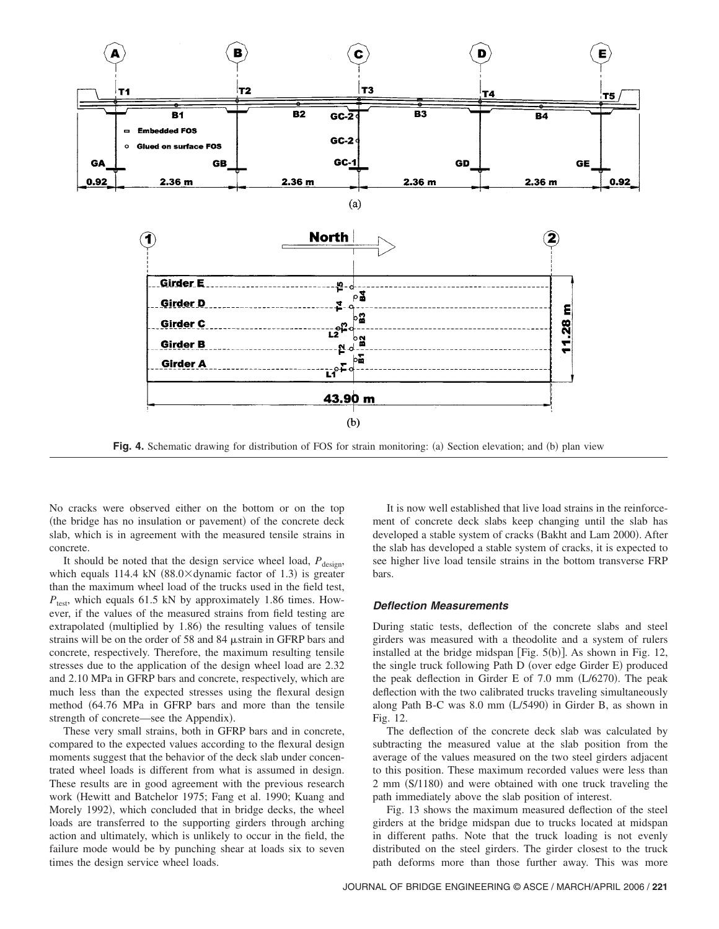

**Fig. 4.** Schematic drawing for distribution of FOS for strain monitoring: (a) Section elevation; and (b) plan view

No cracks were observed either on the bottom or on the top (the bridge has no insulation or pavement) of the concrete deck slab, which is in agreement with the measured tensile strains in concrete.

It should be noted that the design service wheel load,  $P_{\text{design}}$ , which equals 114.4 kN  $(88.0 \times$ dynamic factor of 1.3) is greater than the maximum wheel load of the trucks used in the field test, *P*<sub>test</sub>, which equals 61.5 kN by approximately 1.86 times. However, if the values of the measured strains from field testing are extrapolated (multiplied by  $1.86$ ) the resulting values of tensile strains will be on the order of 58 and 84  $\mu$ strain in GFRP bars and concrete, respectively. Therefore, the maximum resulting tensile stresses due to the application of the design wheel load are 2.32 and 2.10 MPa in GFRP bars and concrete, respectively, which are much less than the expected stresses using the flexural design method  $(64.76 \text{ MPa}$  in GFRP bars and more than the tensile strength of concrete—see the Appendix).

These very small strains, both in GFRP bars and in concrete, compared to the expected values according to the flexural design moments suggest that the behavior of the deck slab under concentrated wheel loads is different from what is assumed in design. These results are in good agreement with the previous research work (Hewitt and Batchelor 1975; Fang et al. 1990; Kuang and Morely 1992), which concluded that in bridge decks, the wheel loads are transferred to the supporting girders through arching action and ultimately, which is unlikely to occur in the field, the failure mode would be by punching shear at loads six to seven times the design service wheel loads.

It is now well established that live load strains in the reinforcement of concrete deck slabs keep changing until the slab has developed a stable system of cracks (Bakht and Lam 2000). After the slab has developed a stable system of cracks, it is expected to see higher live load tensile strains in the bottom transverse FRP bars.

#### **Deflection Measurements**

During static tests, deflection of the concrete slabs and steel girders was measured with a theodolite and a system of rulers installed at the bridge midspan [Fig.  $5(b)$ ]. As shown in Fig. 12, the single truck following Path D (over edge Girder E) produced the peak deflection in Girder E of 7.0 mm  $(L/6270)$ . The peak deflection with the two calibrated trucks traveling simultaneously along Path B-C was  $8.0$  mm  $(L/5490)$  in Girder B, as shown in Fig. 12.

The deflection of the concrete deck slab was calculated by subtracting the measured value at the slab position from the average of the values measured on the two steel girders adjacent to this position. These maximum recorded values were less than 2 mm (S/1180) and were obtained with one truck traveling the path immediately above the slab position of interest.

Fig. 13 shows the maximum measured deflection of the steel girders at the bridge midspan due to trucks located at midspan in different paths. Note that the truck loading is not evenly distributed on the steel girders. The girder closest to the truck path deforms more than those further away. This was more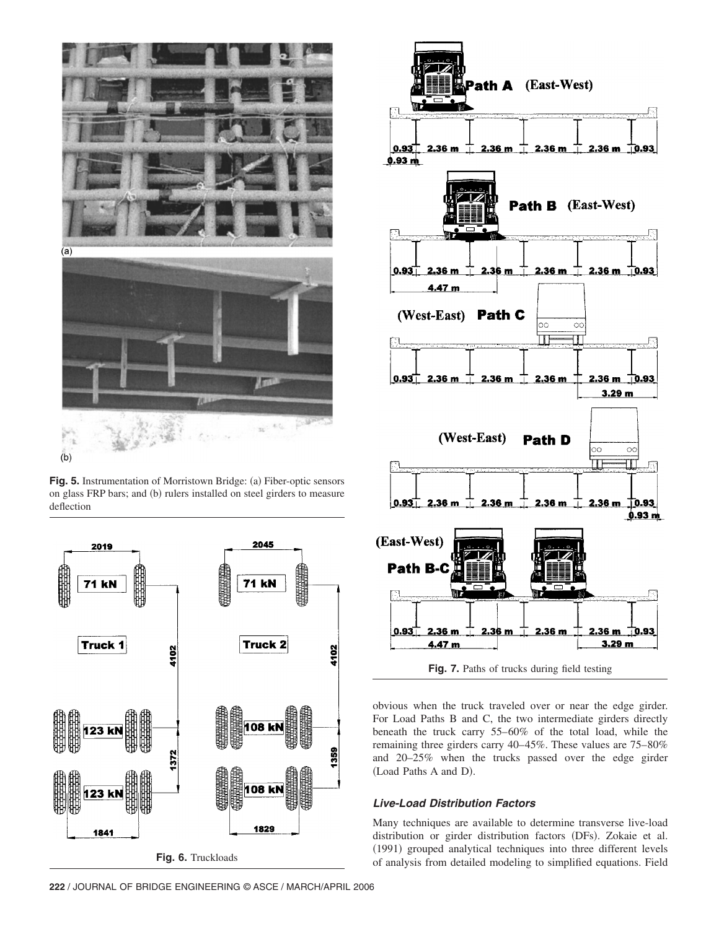

**Fig. 5.** Instrumentation of Morristown Bridge: (a) Fiber-optic sensors on glass FRP bars; and (b) rulers installed on steel girders to measure deflection





**Fig. 7.** Paths of trucks during field testing

obvious when the truck traveled over or near the edge girder. For Load Paths B and C, the two intermediate girders directly beneath the truck carry 55–60% of the total load, while the remaining three girders carry 40–45%. These values are 75–80% and 20–25% when the trucks passed over the edge girder (Load Paths A and D).

# **Live-Load Distribution Factors**

Many techniques are available to determine transverse live-load distribution or girder distribution factors (DFs). Zokaie et al. (1991) grouped analytical techniques into three different levels of analysis from detailed modeling to simplified equations. Field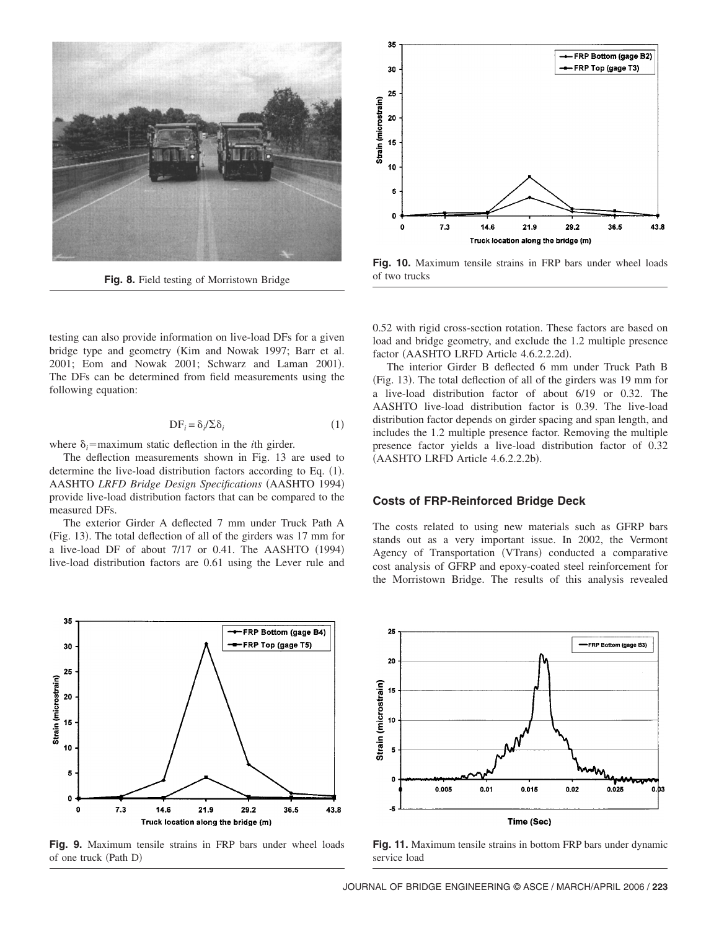

**Fig. 8.** Field testing of Morristown Bridge

testing can also provide information on live-load DFs for a given bridge type and geometry (Kim and Nowak 1997; Barr et al. 2001; Eom and Nowak 2001; Schwarz and Laman 2001). The DFs can be determined from field measurements using the following equation:

$$
DF_i = \delta_i / \sum \delta_i \tag{1}
$$

where  $\delta_i$ =maximum static deflection in the *i*th girder.

The deflection measurements shown in Fig. 13 are used to determine the live-load distribution factors according to Eq.  $(1)$ . AASHTO *LRFD Bridge Design Specifications* (AASHTO 1994) provide live-load distribution factors that can be compared to the measured DFs.

The exterior Girder A deflected 7 mm under Truck Path A  $(Fig. 13)$ . The total deflection of all of the girders was 17 mm for a live-load DF of about  $7/17$  or 0.41. The AASHTO  $(1994)$ live-load distribution factors are 0.61 using the Lever rule and



**Fig. 9.** Maximum tensile strains in FRP bars under wheel loads of one truck (Path D)



**Fig. 10.** Maximum tensile strains in FRP bars under wheel loads of two trucks

0.52 with rigid cross-section rotation. These factors are based on load and bridge geometry, and exclude the 1.2 multiple presence factor (AASHTO LRFD Article 4.6.2.2.2d).

The interior Girder B deflected 6 mm under Truck Path B (Fig. 13). The total deflection of all of the girders was 19 mm for a live-load distribution factor of about 6/19 or 0.32. The AASHTO live-load distribution factor is 0.39. The live-load distribution factor depends on girder spacing and span length, and includes the 1.2 multiple presence factor. Removing the multiple presence factor yields a live-load distribution factor of 0.32 (AASHTO LRFD Article 4.6.2.2.2b).

#### **Costs of FRP-Reinforced Bridge Deck**

The costs related to using new materials such as GFRP bars stands out as a very important issue. In 2002, the Vermont Agency of Transportation (VTrans) conducted a comparative cost analysis of GFRP and epoxy-coated steel reinforcement for the Morristown Bridge. The results of this analysis revealed



**Fig. 11.** Maximum tensile strains in bottom FRP bars under dynamic service load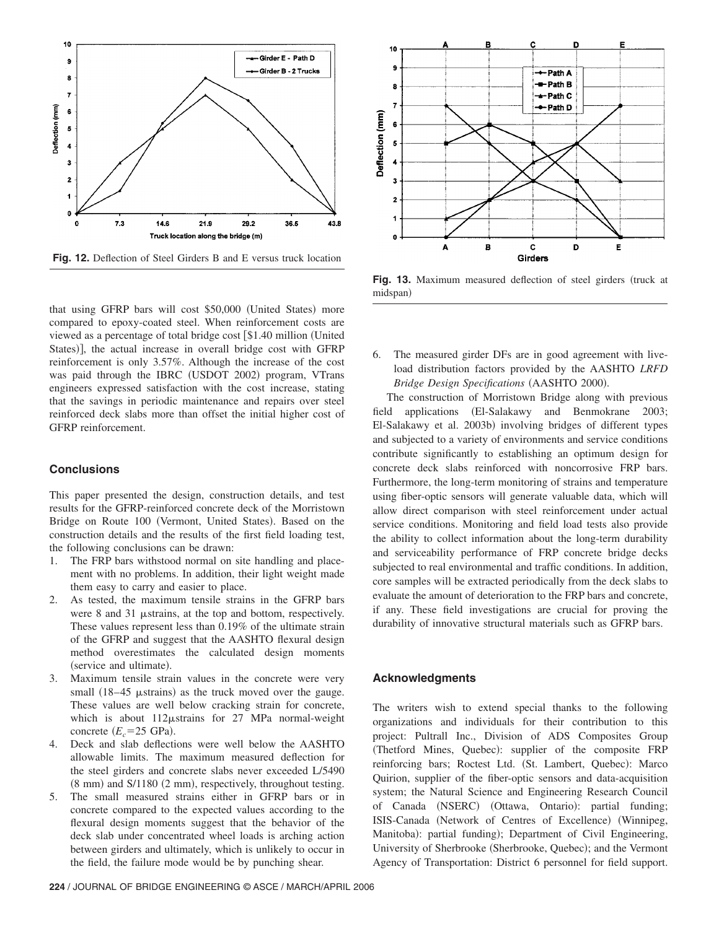

**Fig. 12.** Deflection of Steel Girders B and E versus truck location

that using GFRP bars will cost \$50,000 (United States) more compared to epoxy-coated steel. When reinforcement costs are viewed as a percentage of total bridge cost [\$1.40 million (United States)], the actual increase in overall bridge cost with GFRP reinforcement is only 3.57%. Although the increase of the cost was paid through the IBRC (USDOT 2002) program, VTrans engineers expressed satisfaction with the cost increase, stating that the savings in periodic maintenance and repairs over steel reinforced deck slabs more than offset the initial higher cost of GFRP reinforcement.

# **Conclusions**

This paper presented the design, construction details, and test results for the GFRP-reinforced concrete deck of the Morristown Bridge on Route 100 (Vermont, United States). Based on the construction details and the results of the first field loading test, the following conclusions can be drawn:

- 1. The FRP bars withstood normal on site handling and placement with no problems. In addition, their light weight made them easy to carry and easier to place.
- 2. As tested, the maximum tensile strains in the GFRP bars were  $8$  and  $31$   $\mu$ strains, at the top and bottom, respectively. These values represent less than 0.19% of the ultimate strain of the GFRP and suggest that the AASHTO flexural design method overestimates the calculated design moments (service and ultimate).
- 3. Maximum tensile strain values in the concrete were very small  $(18-45 \mu strains)$  as the truck moved over the gauge. These values are well below cracking strain for concrete, which is about  $112\mu$ strains for 27 MPa normal-weight concrete  $(E_c = 25 \text{ GPa})$ .
- 4. Deck and slab deflections were well below the AASHTO allowable limits. The maximum measured deflection for the steel girders and concrete slabs never exceeded L/5490  $(8 \text{ mm})$  and S/1180  $(2 \text{ mm})$ , respectively, throughout testing.
- 5. The small measured strains either in GFRP bars or in concrete compared to the expected values according to the flexural design moments suggest that the behavior of the deck slab under concentrated wheel loads is arching action between girders and ultimately, which is unlikely to occur in the field, the failure mode would be by punching shear.



Fig. 13. Maximum measured deflection of steel girders (truck at midspan)

6. The measured girder DFs are in good agreement with liveload distribution factors provided by the AASHTO *LRFD Bridge Design Specifications* (AASHTO 2000).

The construction of Morristown Bridge along with previous field applications (El-Salakawy and Benmokrane 2003; El-Salakawy et al. 2003b) involving bridges of different types and subjected to a variety of environments and service conditions contribute significantly to establishing an optimum design for concrete deck slabs reinforced with noncorrosive FRP bars. Furthermore, the long-term monitoring of strains and temperature using fiber-optic sensors will generate valuable data, which will allow direct comparison with steel reinforcement under actual service conditions. Monitoring and field load tests also provide the ability to collect information about the long-term durability and serviceability performance of FRP concrete bridge decks subjected to real environmental and traffic conditions. In addition, core samples will be extracted periodically from the deck slabs to evaluate the amount of deterioration to the FRP bars and concrete, if any. These field investigations are crucial for proving the durability of innovative structural materials such as GFRP bars.

## **Acknowledgments**

The writers wish to extend special thanks to the following organizations and individuals for their contribution to this project: Pultrall Inc., Division of ADS Composites Group (Thetford Mines, Quebec): supplier of the composite FRP reinforcing bars; Roctest Ltd. (St. Lambert, Quebec): Marco Quirion, supplier of the fiber-optic sensors and data-acquisition system; the Natural Science and Engineering Research Council of Canada (NSERC) (Ottawa, Ontario): partial funding; ISIS-Canada (Network of Centres of Excellence) (Winnipeg, Manitoba): partial funding); Department of Civil Engineering, University of Sherbrooke (Sherbrooke, Quebec); and the Vermont Agency of Transportation: District 6 personnel for field support.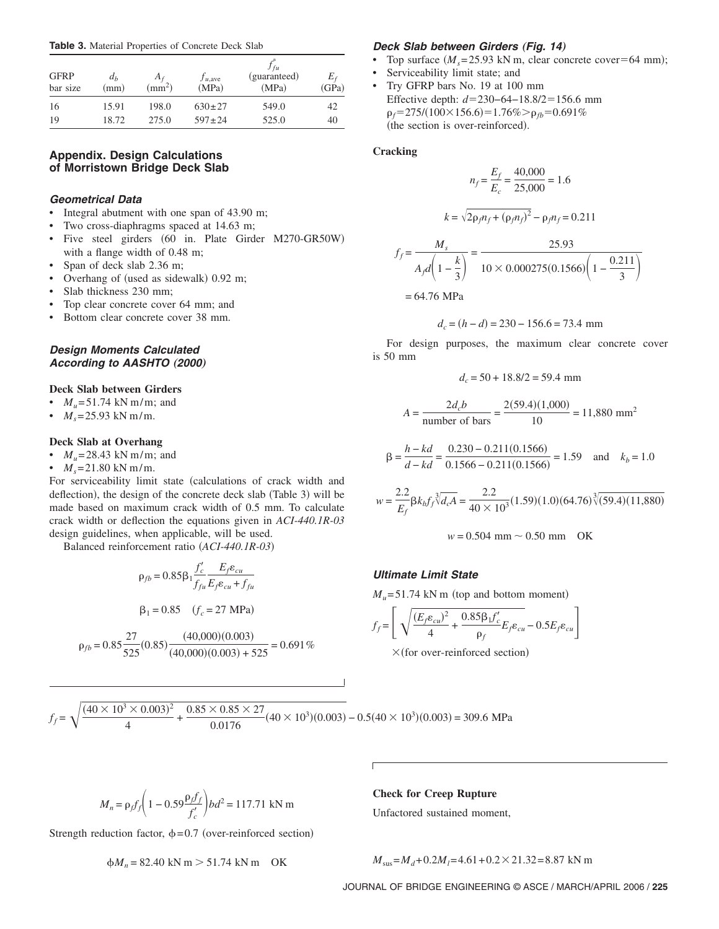**Table 3.** Material Properties of Concrete Deck Slab

| <b>GFRP</b><br>bar size | $d_h$<br>(mm) | $A_f$<br>$\rm (mm^2)$ | $J_{u, \text{ave}}$<br>(MPa) | J fu<br>(guaranteed)<br>(MPa) | $E_f$<br>(GPa) |
|-------------------------|---------------|-----------------------|------------------------------|-------------------------------|----------------|
| 16                      | 15.91         | 198.0                 | $630 \pm 27$                 | 549.0                         | 42             |
| 19                      | 18.72         | 275.0                 | $597 \pm 24$                 | 525.0                         | 40             |

# **Appendix. Design Calculations of Morristown Bridge Deck Slab**

# **Geometrical Data**

- Integral abutment with one span of 43.90 m;
- Two cross-diaphragms spaced at 14.63 m;
- Five steel girders (60 in. Plate Girder M270-GR50W) with a flange width of 0.48 m;
- Span of deck slab 2.36 m;
- Overhang of (used as sidewalk) 0.92 m;
- Slab thickness 230 mm;
- Top clear concrete cover 64 mm; and
- Bottom clear concrete cover 38 mm.

# **Design Moments Calculated According to AASHTO (2000)**

#### **Deck Slab between Girders**

- $M_v = 51.74 \text{ kN m/m}$ ; and
- $M_s = 25.93$  kN m/m.

## **Deck Slab at Overhang**

- $M_{u} = 28.43 \text{ kN m/m}$ ; and
- $M_s = 21.80 \text{ kN m/m}.$

For serviceability limit state (calculations of crack width and deflection), the design of the concrete deck slab (Table 3) will be made based on maximum crack width of 0.5 mm. To calculate crack width or deflection the equations given in *ACI-440.1R-03* design guidelines, when applicable, will be used.

Balanced reinforcement ratio  $(ACI-440.1R-03)$ 

$$
\rho_{fb} = 0.85 \beta_1 \frac{f_c'}{f_{fu}} \frac{E_f \varepsilon_{cu}}{E_f \varepsilon_{cu} + f_{fu}}
$$

$$
\beta_1 = 0.85 \quad (f_c = 27 \text{ MPa})
$$

$$
\rho_{fb} = 0.85 \frac{27}{525} (0.85) \frac{(40,000)(0.003)}{(40,000)(0.003) + 525} = 0.691\%
$$

## **Deck Slab between Girders (Fig. 14)**

- Top surface  $(M_s= 25.93 \text{ kN m})$ , clear concrete cover=64 mm);
- Serviceability limit state; and
- Try GFRP bars No. 19 at 100 mm Effective depth: *d*=230−64−18.8/2=156.6 mm  $p_f = 275/(100 \times 156.6) = 1.76\%$   $\ge$   $p_{fb} = 0.691\%$ (the section is over-reinforced).

#### **Cracking**

$$
n_f = \frac{E_f}{E_c} = \frac{40,000}{25,000} = 1.6
$$

$$
k = \sqrt{2\rho_f n_f + (\rho_f n_f)^2} - \rho_f n_f = 0.211
$$

$$
f_f = \frac{M_s}{A_f d \left(1 - \frac{k}{3}\right)} = \frac{25.93}{10 \times 0.000275(0.1566) \left(1 - \frac{0.211}{3}\right)}
$$
  
= 64.76 MPa

$$
d_c = (h - d) = 230 - 156.6 = 73.4
$$
 mm

For design purposes, the maximum clear concrete cover is 50 mm

$$
d_c = 50 + 18.8/2 = 59.4
$$
 mm

$$
A = \frac{2d_c b}{\text{number of bars}} = \frac{2(59.4)(1,000)}{10} = 11,880 \text{ mm}^2
$$

$$
\beta = \frac{h - kd}{d - kd} = \frac{0.230 - 0.211(0.1566)}{0.1566 - 0.211(0.1566)} = 1.59 \text{ and } k_b = 1.0
$$

$$
w = \frac{2.2}{E_f} \beta k_b f_f \sqrt[3]{d_c A} = \frac{2.2}{40 \times 10^3} (1.59)(1.0)(64.76) \sqrt[3]{(59.4)(11,880)}
$$

$$
w = 0.504
$$
 mm  $\sim 0.50$  mm OK

# **Ultimate Limit State**

$$
M_u = 51.74
$$
 kN m (top and bottom moment)

$$
f_f = \left[ \sqrt{\frac{(E_f \varepsilon_{cu})^2}{4} + \frac{0.85 \beta_1 f_c'}{\rho_f} E_f \varepsilon_{cu}} - 0.5 E_f \varepsilon_{cu} \right]
$$

 $\times$ (for over-reinforced section)

$$
f_f = \sqrt{\frac{(40 \times 10^3 \times 0.003)^2}{4} + \frac{0.85 \times 0.85 \times 27}{0.0176}} (40 \times 10^3)(0.003) - 0.5(40 \times 10^3)(0.003) = 309.6 \text{ MPa}
$$

$$
M_n = \rho_f f_f \left( 1 - 0.59 \frac{\rho_f f_f}{f_c'} \right) b d^2 = 117.71 \text{ kN m}
$$

Strength reduction factor,  $\phi = 0.7$  (over-reinforced section)

$$
\phi M_n = 82.40 \text{ kN m} > 51.74 \text{ kN m} \quad \text{OK}
$$

**Check for Creep Rupture** Unfactored sustained moment,

 $M_{\text{SUS}} = M_d + 0.2M_l = 4.61 + 0.2 \times 21.32 = 8.87 \text{ kN m}$ 

JOURNAL OF BRIDGE ENGINEERING © ASCE / MARCH/APRIL 2006 / **225**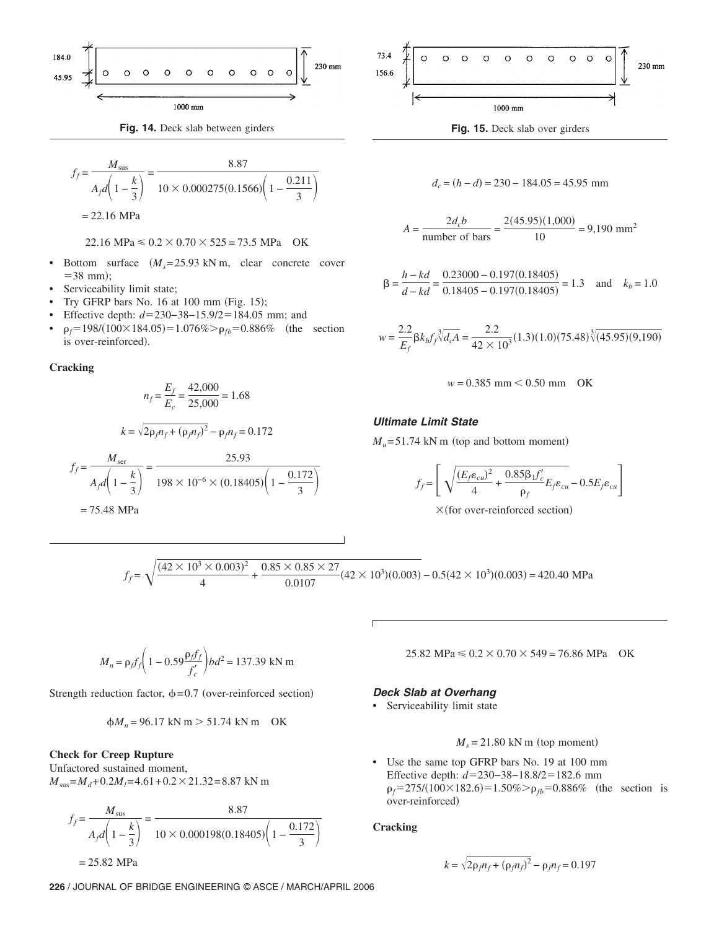

$$
f_f = \frac{M_{\text{sus}}}{A_f d \left(1 - \frac{k}{3}\right)} = \frac{8.87}{10 \times 0.000275(0.1566) \left(1 - \frac{0.211}{3}\right)}
$$
  
= 22.16 MPa

 $22.16 \text{ MPa} \leq 0.2 \times 0.70 \times 525 = 73.5 \text{ MPa}$  OK

- Bottom surface  $(M_s= 25.93 \text{ kN m})$ , clear concrete cover  $= 38$  mm;
- Serviceability limit state;
- Try GFRP bars No.  $16$  at  $100$  mm (Fig.  $15$ );
- Effective depth: *d*=230−38−15.9/2=184.05 mm; and
- $\rho_f$ =198/(100×184.05)=1.076%> $\rho_{fb}$ =0.886% (the section is over-reinforced).

#### **Cracking**

$$
n_f = \frac{E_f}{E_c} = \frac{42,000}{25,000} = 1.68
$$
  

$$
k = \sqrt{2\rho_f n_f + (\rho_f n_f)^2} - \rho_f n_f = 0.172
$$
  

$$
f_f = \frac{M_{\text{ser}}}{A_f d \left(1 - \frac{k}{3}\right)} = \frac{25.93}{198 \times 10^{-6} \times (0.18405) \left(1 - \frac{0.172}{3}\right)}
$$
  
= 75.48 MPa



$$
d_c = (h - d) = 230 - 184.05 = 45.95
$$
 mm

$$
A = \frac{2d_c b}{\text{number of bars}} = \frac{2(45.95)(1,000)}{10} = 9,190 \text{ mm}^2
$$

$$
\beta = \frac{h - kd}{d - kd} = \frac{0.23000 - 0.197(0.18405)}{0.18405 - 0.197(0.18405)} = 1.3 \text{ and } k_b = 1.0
$$

$$
w = \frac{2.2}{E_f} \beta k_b f_f \sqrt[3]{d_c A} = \frac{2.2}{42 \times 10^3} (1.3)(1.0)(75.48) \sqrt[3]{(45.95)(9,190)}
$$

$$
w = 0.385
$$
 mm  $\leq 0.50$  mm  $\quad$  OK

## **Ultimate Limit State**

 $M_u = 51.74$  kN m (top and bottom moment)

$$
f_f = \left[ \sqrt{\frac{(E_f \varepsilon_{cu})^2}{4} + \frac{0.85 \beta_1 f_c'}{\rho_f}} E_f \varepsilon_{cu} - 0.5 E_f \varepsilon_{cu} \right]
$$

 $\times$ (for over-reinforced section)

$$
f_f = \sqrt{\frac{(42 \times 10^3 \times 0.003)^2}{4} + \frac{0.85 \times 0.85 \times 27}{0.0107} (42 \times 10^3)(0.003)} - 0.5(42 \times 10^3)(0.003) = 420.40 \text{ MPa}
$$

$$
M_n = \rho_f f_f \left( 1 - 0.59 \frac{\rho_f f_f}{f_c'} \right) b d^2 = 137.39 \text{ kN m}
$$

Strength reduction factor,  $\phi = 0.7$  (over-reinforced section)

$$
\phi M_n = 96.17 \text{ kN m} > 51.74 \text{ kN m} \quad \text{OK}
$$

## **Check for Creep Rupture**

Unfactored sustained moment,  $M<sub>sus</sub> = M<sub>d</sub> + 0.2M<sub>l</sub> = 4.61 + 0.2 \times 21.32 = 8.87$  kN m

$$
f_f = \frac{M_{\text{sus}}}{A_f d \left(1 - \frac{k}{3}\right)} = \frac{8.87}{10 \times 0.000198(0.18405) \left(1 - \frac{0.172}{3}\right)}
$$

 $= 25.82$  MPa

**226** / JOURNAL OF BRIDGE ENGINEERING © ASCE / MARCH/APRIL 2006

 $25.82 \text{ MPa} \leq 0.2 \times 0.70 \times 549 = 76.86 \text{ MPa}$  OK

#### **Deck Slab at Overhang**

• Serviceability limit state

 $M_s = 21.80$  kN m (top moment)

• Use the same top GFRP bars No. 19 at 100 mm Effective depth: *d*=230−38−18.8/2=182.6 mm  $p_f = 275/(100 \times 182.6) = 1.50\% > p_{fb} = 0.886\%$  (the section is over-reinforced)

## **Cracking**

$$
k = \sqrt{2\rho_f n_f + (\rho_f n_f)^2} - \rho_f n_f = 0.197
$$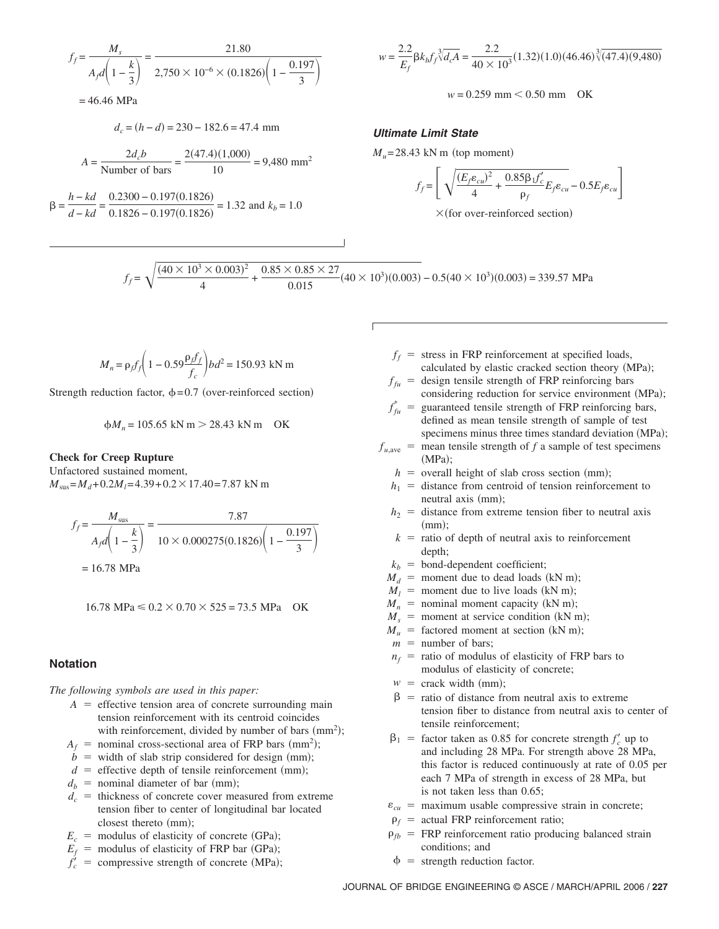$$
f_f = \frac{M_s}{A_f d \left(1 - \frac{k}{3}\right)} = \frac{21.80}{2,750 \times 10^{-6} \times (0.1826) \left(1 - \frac{0.197}{3}\right)}
$$

$$
= 46.46 \text{ MPa}
$$

$$
d_c = (h - d) = 230 - 182.6 = 47.4
$$
 mm

$$
A = \frac{2d_c b}{\text{Number of bars}} = \frac{2(47.4)(1,000)}{10} = 9,480 \text{ mm}^2
$$

$$
\beta = \frac{h - kd}{d - kd} = \frac{0.2300 - 0.197(0.1826)}{0.1826 - 0.197(0.1826)} = 1.32
$$
 and  $k_b = 1.0$ 

$$
w = \frac{2.2}{E_f} \beta k_b f_f \sqrt[3]{d_c A} = \frac{2.2}{40 \times 10^3} (1.32)(1.0)(46.46) \sqrt[3]{(47.4)(9,480)}
$$

 $w = 0.259$  mm  $< 0.50$  mm OK

## **Ultimate Limit State**

 $M_u$ = 28.43 kN m (top moment)

$$
f_f = \left[ \sqrt{\frac{(E_f \varepsilon_{cu})^2}{4} + \frac{0.85 \beta_1 f'_c}{\rho_f} E_f \varepsilon_{cu}} - 0.5 E_f \varepsilon_{cu} \right]
$$

 $\times$ (for over-reinforced section)

$$
f_f = \sqrt{\frac{(40 \times 10^3 \times 0.003)^2}{4} + \frac{0.85 \times 0.85 \times 27}{0.015} (40 \times 10^3)(0.003)} - 0.5(40 \times 10^3)(0.003) = 339.57 \text{ MPa}
$$

$$
M_n = \rho_f f_f \left( 1 - 0.59 \frac{\rho_f f_f}{f_c} \right) b d^2 = 150.93 \text{ kN m}
$$

Strength reduction factor,  $\phi = 0.7$  (over-reinforced section)

$$
\phi M_n = 105.65 \text{ kN m} > 28.43 \text{ kN m} \quad \text{OK}
$$

## **Check for Creep Rupture**

Unfactored sustained moment,  $M<sub>sus</sub> = M<sub>d</sub> + 0.2M<sub>l</sub> = 4.39 + 0.2 \times 17.40 = 7.87$  kN m

$$
f_f = \frac{M_{\text{sus}}}{A_f d \left(1 - \frac{k}{3}\right)} = \frac{7.87}{10 \times 0.000275(0.1826) \left(1 - \frac{0.197}{3}\right)}
$$
  
= 16.78 MPa

 $16.78 \text{ MPa} \leq 0.2 \times 0.70 \times 525 = 73.5 \text{ MPa}$  OK

## **Notation**

*The following symbols are used in this paper:*

- $A =$  effective tension area of concrete surrounding main tension reinforcement with its centroid coincides with reinforcement, divided by number of bars  $(mm<sup>2</sup>)$ ;
- $A_f$  = nominal cross-sectional area of FRP bars (mm<sup>2</sup>);
- $\dot{b}$  = width of slab strip considered for design (mm);
- $d =$  effective depth of tensile reinforcement (mm);
- $d_b$  = nominal diameter of bar (mm);
- $d_c$  = thickness of concrete cover measured from extreme tension fiber to center of longitudinal bar located closest thereto (mm);
- $E_c$  = modulus of elasticity of concrete (GPa);
- $E_f$  = modulus of elasticity of FRP bar (GPa);
- $f'_c$  = compressive strength of concrete (MPa);
- $f_f$  = stress in FRP reinforcement at specified loads, calculated by elastic cracked section theory  $(MPa)$ ;
- $f_{fu}$  = design tensile strength of FRP reinforcing bars considering reduction for service environment (MPa);
- $f_{f\mu}^*$  = guaranteed tensile strength of FRP reinforcing bars, defined as mean tensile strength of sample of test specimens minus three times standard deviation (MPa);
- $f_{\mu,ave}$  = mean tensile strength of *f* a sample of test specimens  $(MPa);$ 
	- $h =$  overall height of slab cross section (mm);
	- $h_1$  = distance from centroid of tension reinforcement to neutral axis (mm);
	- $h_2$  = distance from extreme tension fiber to neutral axis  $\pmb{\pmod{}}$ :
	- $k =$  ratio of depth of neutral axis to reinforcement depth;
	- $k_b$  = bond-dependent coefficient;
	- $M_d$  = moment due to dead loads (kN m);
	- $M_1$  = moment due to live loads (kN m);
	- $M_n$  = nominal moment capacity (kN m);
	- $M<sub>s</sub>$  = moment at service condition (kN m);
	- $M_u$  = factored moment at section (kN m);
	- $m =$  number of bars;
	- $n_f$  = ratio of modulus of elasticity of FRP bars to modulus of elasticity of concrete;
	- $w = \text{crack width } (\text{mm});$
	- $\beta$  = ratio of distance from neutral axis to extreme tension fiber to distance from neutral axis to center of tensile reinforcement;
	- $\beta_1$  = factor taken as 0.85 for concrete strength  $f'_c$  up to and including 28 MPa. For strength above 28 MPa, this factor is reduced continuously at rate of 0.05 per each 7 MPa of strength in excess of 28 MPa, but is not taken less than 0.65;
	- $\varepsilon_{cu}$  = maximum usable compressive strain in concrete;
	- $\rho_f$  = actual FRP reinforcement ratio;
	- $\rho_{\text{th}}$  = FRP reinforcement ratio producing balanced strain conditions; and
	- $\phi$  = strength reduction factor.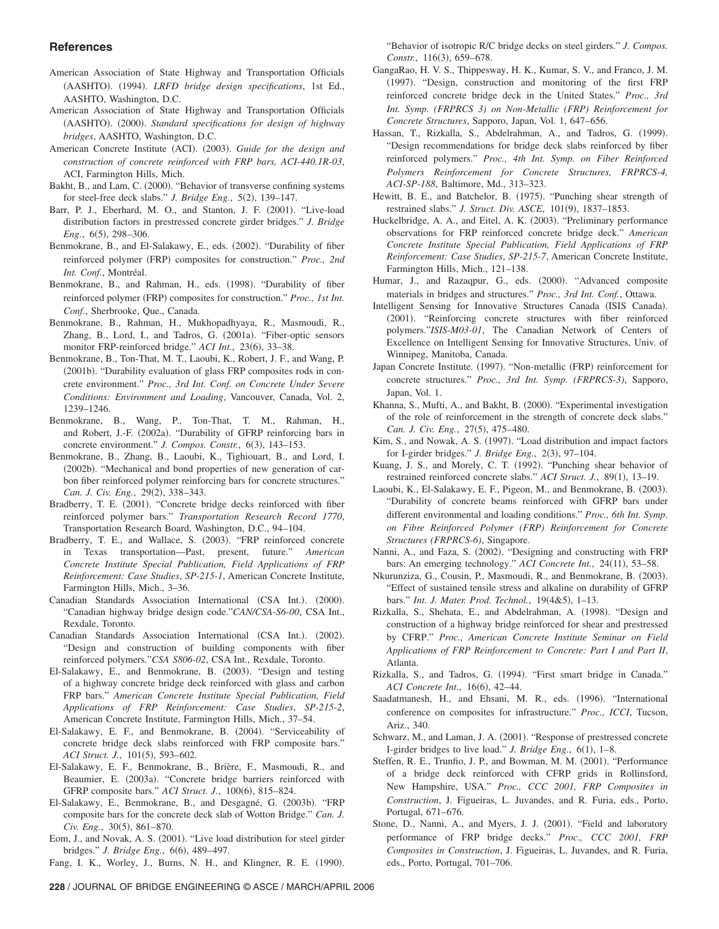## **References**

- American Association of State Highway and Transportation Officials (AASHTO). (1994). *LRFD bridge design specifications*, 1st Ed., AASHTO, Washington, D.C.
- American Association of State Highway and Transportation Officials (AASHTO). (2000). *Standard specifications for design of highway bridges*, AASHTO, Washington, D.C.
- American Concrete Institute (ACI). (2003). Guide for the design and *construction of concrete reinforced with FRP bars, ACI-440.1R-03*, ACI, Farmington Hills, Mich.
- Bakht, B., and Lam, C. (2000). "Behavior of transverse confining systems for steel-free deck slabs." *J. Bridge Eng.*, 5(2), 139–147.
- Barr, P. J., Eberhard, M. O., and Stanton, J. F. (2001). "Live-load distribution factors in prestressed concrete girder bridges." *J. Bridge Eng.*, 6(5), 298–306.
- Benmokrane, B., and El-Salakawy, E., eds. (2002). "Durability of fiber reinforced polymer (FRP) composites for construction." *Proc., 2nd Int. Conf.*, Montréal.
- Benmokrane, B., and Rahman, H., eds. (1998). "Durability of fiber reinforced polymer (FRP) composites for construction." *Proc., 1st Int. Conf.*, Sherbrooke, Que., Canada.
- Benmokrane, B., Rahman, H., Mukhopadhyaya, R., Masmoudi, R., Zhang, B., Lord, I., and Tadros, G. (2001a). "Fiber-optic sensors monitor FRP-reinforced bridge." ACI Int., 23(6), 33-38.
- Benmokrane, B., Ton-That, M. T., Laoubi, K., Robert, J. F., and Wang, P. (2001b). "Durability evaluation of glass FRP composites rods in concrete environment." *Proc., 3rd Int. Conf. on Concrete Under Severe Conditions: Environment and Loading*, Vancouver, Canada, Vol. 2, 1239–1246.
- Benmokrane, B., Wang, P., Ton-That, T. M., Rahman, H., and Robert, J.-F. (2002a). "Durability of GFRP reinforcing bars in concrete environment." *J. Compos. Constr.*, 6(3), 143-153.
- Benmokrane, B., Zhang, B., Laoubi, K., Tighiouart, B., and Lord, I. (2002b). "Mechanical and bond properties of new generation of carbon fiber reinforced polymer reinforcing bars for concrete structures." *Can. J. Civ. Eng., 29(2), 338-343.*
- Bradberry, T. E. (2001). "Concrete bridge decks reinforced with fiber reinforced polymer bars." *Transportation Research Record 1770*, Transportation Research Board, Washington, D.C., 94–104.
- Bradberry, T. E., and Wallace, S. (2003). "FRP reinforced concrete in Texas transportation—Past, present, future." *American Concrete Institute Special Publication, Field Applications of FRP Reinforcement: Case Studies*, *SP-215-1*, American Concrete Institute, Farmington Hills, Mich., 3–36.
- Canadian Standards Association International (CSA Int.). (2000). "Canadian highway bridge design code."*CAN/CSA*-*S6-00*, CSA Int., Rexdale, Toronto.
- Canadian Standards Association International (CSA Int.). (2002). "Design and construction of building components with fiber reinforced polymers."*CSA S806-02*, CSA Int., Rexdale, Toronto.
- El-Salakawy, E., and Benmokrane, B. (2003). "Design and testing of a highway concrete bridge deck reinforced with glass and carbon FRP bars." *American Concrete Institute Special Publication, Field Applications of FRP Reinforcement: Case Studies*, *SP-215-2*, American Concrete Institute, Farmington Hills, Mich., 37–54.
- El-Salakawy, E. F., and Benmokrane, B. (2004). "Serviceability of concrete bridge deck slabs reinforced with FRP composite bars." *ACI Struct. J.*, 101(5), 593-602.
- El-Salakawy, E. F., Benmokrane, B., Brière, F., Masmoudi, R., and Beaumier, E. (2003a). "Concrete bridge barriers reinforced with GFRP composite bars." *ACI Struct. J.*, 100(6), 815-824.
- El-Salakawy, E., Benmokrane, B., and Desgagné, G. (2003b). "FRP composite bars for the concrete deck slab of Wotton Bridge." *Can. J. Civ. Eng.*, 30(5), 861–870.
- Eom, J., and Novak, A. S. (2001). "Live load distribution for steel girder bridges." *J. Bridge Eng.*, 6(6), 489-497.

Fang, I. K., Worley, J., Burns, N. H., and Klingner, R. E. (1990).

- GangaRao, H. V. S., Thippesway, H. K., Kumar, S. V., and Franco, J. M. (1997). "Design, construction and monitoring of the first FRP reinforced concrete bridge deck in the United States." *Proc., 3rd Int. Symp. (FRPRCS 3) on Non-Metallic (FRP) Reinforcement for Concrete Structures*, Sapporo, Japan, Vol. 1, 647–656.
- Hassan, T., Rizkalla, S., Abdelrahman, A., and Tadros, G. (1999). "Design recommendations for bridge deck slabs reinforced by fiber reinforced polymers." *Proc., 4th Int. Symp. on Fiber Reinforced Polymers Reinforcement for Concrete Structures, FRPRCS-4, ACI-SP-188*, Baltimore, Md., 313–323.
- Hewitt, B. E., and Batchelor, B. (1975). "Punching shear strength of restrained slabs." *J. Struct. Div. ASCE*, 101(9), 1837–1853.
- Huckelbridge, A. A., and Eitel, A. K. (2003). "Preliminary performance observations for FRP reinforced concrete bridge deck." *American Concrete Institute Special Publication, Field Applications of FRP Reinforcement: Case Studies*, *SP-215-7*, American Concrete Institute, Farmington Hills, Mich., 121–138.
- Humar, J., and Razaqpur, G., eds. (2000). "Advanced composite materials in bridges and structures." *Proc., 3rd Int. Conf.*, Ottawa.
- Intelligent Sensing for Innovative Structures Canada (ISIS Canada). (2001). "Reinforcing concrete structures with fiber reinforced polymers."*ISIS*-*M03-01*, The Canadian Network of Centers of Excellence on Intelligent Sensing for Innovative Structures, Univ. of Winnipeg, Manitoba, Canada.
- Japan Concrete Institute. (1997). "Non-metallic (FRP) reinforcement for concrete structures." *Proc., 3rd Int. Symp. (FRPRCS-3)*, Sapporo, Japan, Vol. 1.
- Khanna, S., Mufti, A., and Bakht, B. (2000). "Experimental investigation of the role of reinforcement in the strength of concrete deck slabs." *Can. J. Civ. Eng.*, 27(5), 475–480.
- Kim, S., and Nowak, A. S. (1997). "Load distribution and impact factors for I-girder bridges." *J. Bridge Eng.*, 2(3), 97-104.
- Kuang, J. S., and Morely, C. T. (1992). "Punching shear behavior of restrained reinforced concrete slabs." *ACI Struct. J.*, 89(1), 13-19.
- Laoubi, K., El-Salakawy, E. F., Pigeon, M., and Benmokrane, B. (2003). "Durability of concrete beams reinforced with GFRP bars under different environmental and loading conditions." *Proc., 6th Int. Symp. on Fibre Reinforced Polymer (FRP) Reinforcement for Concrete Structures (FRPRCS-6)*, Singapore.
- Nanni, A., and Faza, S. (2002). "Designing and constructing with FRP bars: An emerging technology." *ACI Concrete Int.*, 24(11), 53-58.
- Nkurunziza, G., Cousin, P., Masmoudi, R., and Benmokrane, B. (2003). "Effect of sustained tensile stress and alkaline on durability of GFRP bars." *Int. J. Mater. Prod. Technol.*, 19(4&5), 1-13.
- Rizkalla, S., Shehata, E., and Abdelrahman, A. (1998). "Design and construction of a highway bridge reinforced for shear and prestressed by CFRP." *Proc., American Concrete Institute Seminar on Field Applications of FRP Reinforcement to Concrete: Part I and Part II*, Atlanta.
- Rizkalla, S., and Tadros, G. (1994). "First smart bridge in Canada." *ACI Concrete Int.,* 16(6), 42–44.
- Saadatmanesh, H., and Ehsani, M. R., eds. (1996). "International conference on composites for infrastructure." *Proc., ICCI*, Tucson, Ariz., 340.
- Schwarz, M., and Laman, J. A. (2001). "Response of prestressed concrete I-girder bridges to live load." *J. Bridge Eng.*, 6(1), 1–8.
- Steffen, R. E., Trunfio, J. P., and Bowman, M. M. (2001). "Performance of a bridge deck reinforced with CFRP grids in Rollinsford, New Hampshire, USA." *Proc., CCC 2001, FRP Composites in Construction*, J. Figueiras, L. Juvandes, and R. Furia, eds., Porto, Portugal, 671–676.
- Stone, D., Nanni, A., and Myers, J. J. (2001). "Field and laboratory performance of FRP bridge decks." *Proc., CCC 2001, FRP Composites in Construction*, J. Figueiras, L. Juvandes, and R. Furia, eds., Porto, Portugal, 701–706.